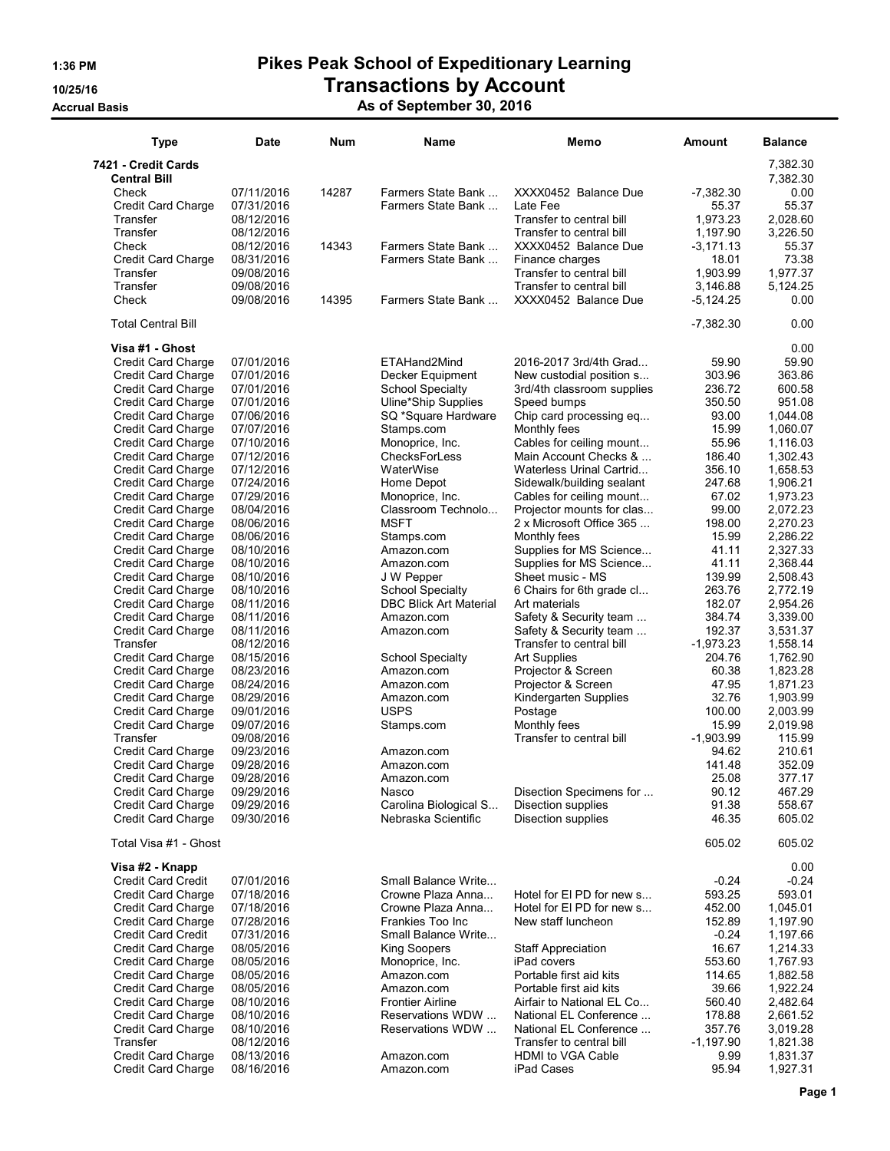## 1:36 PM Pikes Peak School of Expeditionary Learning 10/25/16 Transactions by Account

## Accrual Basis As of September 30, 2016

| <b>Type</b>                                            | <b>Date</b>              | Num   | Name                                                     | Memo                                                   | Amount                | <b>Balance</b>       |
|--------------------------------------------------------|--------------------------|-------|----------------------------------------------------------|--------------------------------------------------------|-----------------------|----------------------|
| 7421 - Credit Cards                                    |                          |       |                                                          |                                                        |                       | 7,382.30             |
| <b>Central Bill</b><br>Check                           | 07/11/2016               | 14287 | Farmers State Bank                                       | XXXX0452 Balance Due                                   | $-7,382.30$           | 7,382.30<br>0.00     |
| Credit Card Charge                                     | 07/31/2016               |       | Farmers State Bank                                       | Late Fee                                               | 55.37                 | 55.37                |
| Transfer                                               | 08/12/2016               |       |                                                          | Transfer to central bill                               | 1,973.23              | 2,028.60             |
| Transfer                                               | 08/12/2016               |       |                                                          | Transfer to central bill                               | 1,197.90              | 3,226.50             |
| Check                                                  | 08/12/2016               | 14343 | Farmers State Bank                                       | XXXX0452 Balance Due                                   | $-3,171.13$           | 55.37                |
| Credit Card Charge                                     | 08/31/2016               |       | Farmers State Bank                                       | Finance charges                                        | 18.01                 | 73.38                |
| Transfer<br>Transfer                                   | 09/08/2016<br>09/08/2016 |       |                                                          | Transfer to central bill<br>Transfer to central bill   | 1,903.99<br>3.146.88  | 1,977.37<br>5,124.25 |
| Check                                                  | 09/08/2016               | 14395 | Farmers State Bank                                       | XXXX0452 Balance Due                                   | $-5,124.25$           | 0.00                 |
| <b>Total Central Bill</b>                              |                          |       |                                                          |                                                        | $-7,382.30$           | 0.00                 |
| Visa #1 - Ghost                                        |                          |       |                                                          |                                                        |                       | 0.00                 |
| Credit Card Charge                                     | 07/01/2016               |       | ETAHand2Mind                                             | 2016-2017 3rd/4th Grad                                 | 59.90                 | 59.90                |
| Credit Card Charge<br><b>Credit Card Charge</b>        | 07/01/2016<br>07/01/2016 |       | Decker Equipment<br><b>School Specialty</b>              | New custodial position s<br>3rd/4th classroom supplies | 303.96<br>236.72      | 363.86<br>600.58     |
| <b>Credit Card Charge</b>                              | 07/01/2016               |       | Uline*Ship Supplies                                      | Speed bumps                                            | 350.50                | 951.08               |
| <b>Credit Card Charge</b>                              | 07/06/2016               |       | SQ *Square Hardware                                      | Chip card processing eq                                | 93.00                 | 1,044.08             |
| Credit Card Charge                                     | 07/07/2016               |       | Stamps.com                                               | Monthly fees                                           | 15.99                 | 1,060.07             |
| <b>Credit Card Charge</b>                              | 07/10/2016               |       | Monoprice, Inc.                                          | Cables for ceiling mount                               | 55.96                 | 1,116.03             |
| <b>Credit Card Charge</b>                              | 07/12/2016               |       | <b>ChecksForLess</b>                                     | Main Account Checks &                                  | 186.40                | 1,302.43             |
| <b>Credit Card Charge</b><br><b>Credit Card Charge</b> | 07/12/2016<br>07/24/2016 |       | WaterWise<br>Home Depot                                  | Waterless Urinal Cartrid<br>Sidewalk/building sealant  | 356.10<br>247.68      | 1,658.53<br>1,906.21 |
| <b>Credit Card Charge</b>                              | 07/29/2016               |       | Monoprice, Inc.                                          | Cables for ceiling mount                               | 67.02                 | 1.973.23             |
| Credit Card Charge                                     | 08/04/2016               |       | Classroom Technolo                                       | Projector mounts for clas                              | 99.00                 | 2,072.23             |
| <b>Credit Card Charge</b>                              | 08/06/2016               |       | <b>MSFT</b>                                              | 2 x Microsoft Office 365                               | 198.00                | 2,270.23             |
| Credit Card Charge                                     | 08/06/2016               |       | Stamps.com                                               | Monthly fees                                           | 15.99                 | 2,286.22             |
| Credit Card Charge                                     | 08/10/2016               |       | Amazon.com                                               | Supplies for MS Science                                | 41.11                 | 2,327.33             |
| <b>Credit Card Charge</b>                              | 08/10/2016               |       | Amazon.com                                               | Supplies for MS Science                                | 41.11                 | 2,368.44             |
| <b>Credit Card Charge</b><br><b>Credit Card Charge</b> | 08/10/2016<br>08/10/2016 |       | J W Pepper                                               | Sheet music - MS                                       | 139.99<br>263.76      | 2,508.43<br>2,772.19 |
| <b>Credit Card Charge</b>                              | 08/11/2016               |       | <b>School Specialty</b><br><b>DBC Blick Art Material</b> | 6 Chairs for 6th grade cl<br>Art materials             | 182.07                | 2,954.26             |
| <b>Credit Card Charge</b>                              | 08/11/2016               |       | Amazon.com                                               | Safety & Security team                                 | 384.74                | 3,339.00             |
| <b>Credit Card Charge</b>                              | 08/11/2016               |       | Amazon.com                                               | Safety & Security team                                 | 192.37                | 3,531.37             |
| Transfer                                               | 08/12/2016               |       |                                                          | Transfer to central bill                               | $-1,973.23$           | 1,558.14             |
| <b>Credit Card Charge</b>                              | 08/15/2016               |       | <b>School Specialty</b>                                  | <b>Art Supplies</b>                                    | 204.76                | 1,762.90             |
| <b>Credit Card Charge</b>                              | 08/23/2016               |       | Amazon.com                                               | Projector & Screen                                     | 60.38                 | 1,823.28             |
| <b>Credit Card Charge</b><br>Credit Card Charge        | 08/24/2016<br>08/29/2016 |       | Amazon.com<br>Amazon.com                                 | Projector & Screen<br>Kindergarten Supplies            | 47.95<br>32.76        | 1,871.23<br>1,903.99 |
| Credit Card Charge                                     | 09/01/2016               |       | <b>USPS</b>                                              | Postage                                                | 100.00                | 2,003.99             |
| <b>Credit Card Charge</b>                              | 09/07/2016               |       | Stamps.com                                               | Monthly fees                                           | 15.99                 | 2.019.98             |
| Transfer                                               | 09/08/2016               |       |                                                          | Transfer to central bill                               | $-1,903.99$           | 115.99               |
| <b>Credit Card Charge</b>                              | 09/23/2016               |       | Amazon.com                                               |                                                        | 94.62                 | 210.61               |
| Credit Card Charge                                     | 09/28/2016               |       | Amazon.com                                               |                                                        | 141.48                | 352.09               |
| Credit Card Charge                                     | 09/28/2016               |       | Amazon.com                                               |                                                        | 25.08                 | 377.17               |
| Credit Card Charge<br><b>Credit Card Charge</b>        | 09/29/2016<br>09/29/2016 |       | Nasco<br>Carolina Biological S                           | Disection Specimens for<br>Disection supplies          | 90.12<br>91.38        | 467.29<br>558.67     |
| Credit Card Charge                                     | 09/30/2016               |       | Nebraska Scientific                                      | Disection supplies                                     | 46.35                 | 605.02               |
| Total Visa #1 - Ghost                                  |                          |       |                                                          |                                                        | 605.02                | 605.02               |
| Visa #2 - Knapp                                        |                          |       |                                                          |                                                        |                       | 0.00                 |
| <b>Credit Card Credit</b>                              | 07/01/2016               |       | Small Balance Write                                      |                                                        | $-0.24$               | $-0.24$              |
| Credit Card Charge                                     | 07/18/2016               |       | Crowne Plaza Anna                                        | Hotel for El PD for new s                              | 593.25                | 593.01               |
| Credit Card Charge<br><b>Credit Card Charge</b>        | 07/18/2016               |       | Crowne Plaza Anna                                        | Hotel for El PD for new s                              | 452.00                | 1,045.01             |
| <b>Credit Card Credit</b>                              | 07/28/2016<br>07/31/2016 |       | Frankies Too Inc<br>Small Balance Write                  | New staff luncheon                                     | 152.89<br>$-0.24$     | 1,197.90<br>1,197.66 |
| Credit Card Charge                                     | 08/05/2016               |       | King Soopers                                             | <b>Staff Appreciation</b>                              | 16.67                 | 1,214.33             |
| <b>Credit Card Charge</b>                              | 08/05/2016               |       | Monoprice, Inc.                                          | iPad covers                                            | 553.60                | 1,767.93             |
| Credit Card Charge                                     | 08/05/2016               |       | Amazon.com                                               | Portable first aid kits                                | 114.65                | 1,882.58             |
| Credit Card Charge                                     | 08/05/2016               |       | Amazon.com                                               | Portable first aid kits                                | 39.66                 | 1,922.24             |
| Credit Card Charge                                     | 08/10/2016               |       | <b>Frontier Airline</b>                                  | Airfair to National EL Co                              | 560.40                | 2,482.64             |
| <b>Credit Card Charge</b>                              | 08/10/2016               |       | Reservations WDW                                         | National EL Conference                                 | 178.88                | 2,661.52             |
| Credit Card Charge<br>Transfer                         | 08/10/2016<br>08/12/2016 |       | Reservations WDW                                         | National EL Conference<br>Transfer to central bill     | 357.76<br>$-1,197.90$ | 3,019.28<br>1,821.38 |
| Credit Card Charge                                     | 08/13/2016               |       | Amazon.com                                               | HDMI to VGA Cable                                      | 9.99                  | 1,831.37             |
| <b>Credit Card Charge</b>                              | 08/16/2016               |       | Amazon.com                                               | iPad Cases                                             | 95.94                 | 1,927.31             |